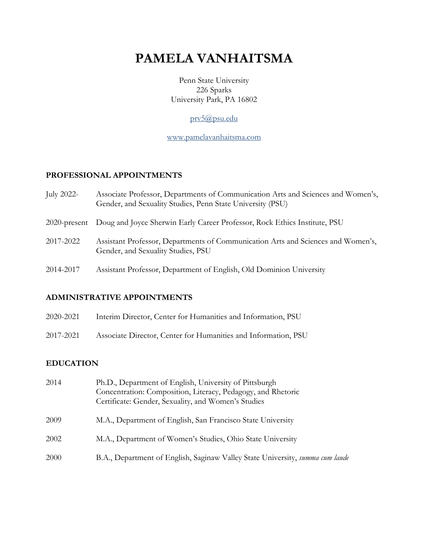# **PAMELA VANHAITSMA**

Penn State University 226 Sparks University Park, PA 16802

### prv5@psu.edu

www.pamelavanhaitsma.com

### **PROFESSIONAL APPOINTMENTS**

| July 2022-      | Associate Professor, Departments of Communication Arts and Sciences and Women's,<br>Gender, and Sexuality Studies, Penn State University (PSU) |
|-----------------|------------------------------------------------------------------------------------------------------------------------------------------------|
| $2020$ -present | Doug and Joyce Sherwin Early Career Professor, Rock Ethics Institute, PSU                                                                      |
| 2017-2022       | Assistant Professor, Departments of Communication Arts and Sciences and Women's,<br>Gender, and Sexuality Studies, PSU                         |
| 2014-2017       | Assistant Professor, Department of English, Old Dominion University                                                                            |
|                 |                                                                                                                                                |

### **ADMINISTRATIVE APPOINTMENTS**

| 2020-2021 | Interim Director, Center for Humanities and Information, PSU   |
|-----------|----------------------------------------------------------------|
| 2017-2021 | Associate Director, Center for Humanities and Information, PSU |

### **EDUCATION**

| 2014 | Ph.D., Department of English, University of Pittsburgh<br>Concentration: Composition, Literacy, Pedagogy, and Rhetoric<br>Certificate: Gender, Sexuality, and Women's Studies |
|------|-------------------------------------------------------------------------------------------------------------------------------------------------------------------------------|
| 2009 | M.A., Department of English, San Francisco State University                                                                                                                   |
| 2002 | M.A., Department of Women's Studies, Ohio State University                                                                                                                    |
| 2000 | B.A., Department of English, Saginaw Valley State University, summa cum laude                                                                                                 |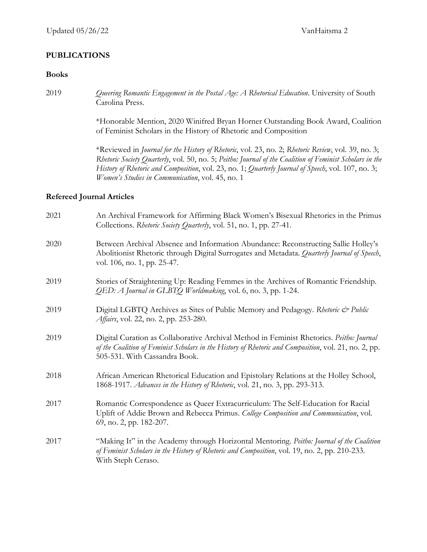#### **PUBLICATIONS**

#### **Books**

2019 *Queering Romantic Engagement in the Postal Age: A Rhetorical Education*. University of South Carolina Press.

> \*Honorable Mention, 2020 Winifred Bryan Horner Outstanding Book Award, Coalition of Feminist Scholars in the History of Rhetoric and Composition

> \*Reviewed in *Journal for the History of Rhetoric*, vol. 23, no. 2; *Rhetoric Review*, vol. 39, no. 3; *Rhetoric Society Quarterly*, vol. 50, no. 5; *Peitho: Journal of the Coalition of Feminist Scholars in the History of Rhetoric and Composition*, vol. 23, no. 1; *Quarterly Journal of Speech*, vol. 107, no. 3; *Women's Studies in Communication*, vol. 45, no. 1

#### **Refereed Journal Articles**

| 2021 | An Archival Framework for Affirming Black Women's Bisexual Rhetorics in the Primus<br>Collections. Rhetoric Society Quarterly, vol. 51, no. 1, pp. 27-41.                                                                          |
|------|------------------------------------------------------------------------------------------------------------------------------------------------------------------------------------------------------------------------------------|
| 2020 | Between Archival Absence and Information Abundance: Reconstructing Sallie Holley's<br>Abolitionist Rhetoric through Digital Surrogates and Metadata. Quarterly Journal of Speech,<br>vol. 106, no. 1, pp. 25-47.                   |
| 2019 | Stories of Straightening Up: Reading Femmes in the Archives of Romantic Friendship.<br>QED: A Journal in GLBTQ Worldmaking, vol. 6, no. 3, pp. 1-24.                                                                               |
| 2019 | Digital LGBTQ Archives as Sites of Public Memory and Pedagogy. Rhetoric & Public<br><i>Affairs</i> , vol. 22, no. 2, pp. 253-280.                                                                                                  |
| 2019 | Digital Curation as Collaborative Archival Method in Feminist Rhetorics. Peitho: Journal<br>of the Coalition of Feminist Scholars in the History of Rhetoric and Composition, vol. 21, no. 2, pp.<br>505-531. With Cassandra Book. |
| 2018 | African American Rhetorical Education and Epistolary Relations at the Holley School,<br>1868-1917. Advances in the History of Rhetoric, vol. 21, no. 3, pp. 293-313.                                                               |
| 2017 | Romantic Correspondence as Queer Extracurriculum: The Self-Education for Racial<br>Uplift of Addie Brown and Rebecca Primus. College Composition and Communication, vol.<br>69, no. 2, pp. 182-207.                                |
| 2017 | "Making It" in the Academy through Horizontal Mentoring. Peitho: Journal of the Coalition<br>of Feminist Scholars in the History of Rhetoric and Composition, vol. 19, no. 2, pp. 210-233.<br>With Steph Ceraso.                   |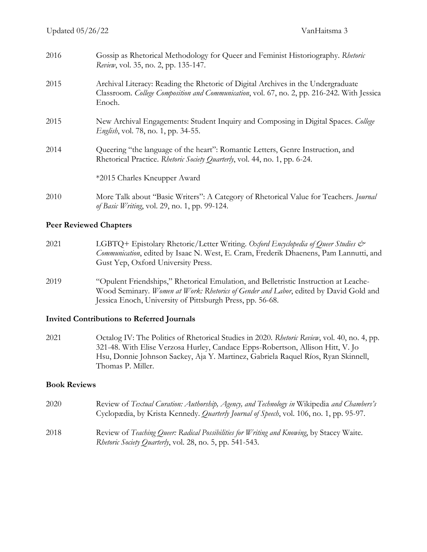| 2016 | Gossip as Rhetorical Methodology for Queer and Feminist Historiography. Rhetoric<br>Review, vol. 35, no. 2, pp. 135-147.                                                                  |
|------|-------------------------------------------------------------------------------------------------------------------------------------------------------------------------------------------|
| 2015 | Archival Literacy: Reading the Rhetoric of Digital Archives in the Undergraduate<br>Classroom. College Composition and Communication, vol. 67, no. 2, pp. 216-242. With Jessica<br>Enoch. |
| 2015 | New Archival Engagements: Student Inquiry and Composing in Digital Spaces. College<br><i>English</i> , vol. 78, no. 1, pp. 34-55.                                                         |
| 2014 | Queering "the language of the heart": Romantic Letters, Genre Instruction, and<br>Rhetorical Practice. Rhetoric Society Quarterly, vol. 44, no. 1, pp. 6-24.                              |
|      | *2015 Charles Kneupper Award                                                                                                                                                              |
| 2010 | More Talk about "Basic Writers": A Category of Rhetorical Value for Teachers. Journal<br>of Basic Writing, vol. 29, no. 1, pp. 99-124.                                                    |

#### **Peer Reviewed Chapters**

- 2021 LGBTQ+ Epistolary Rhetoric/Letter Writing. Oxford Encyclopedia of Queer Studies & *Communication*, edited by Isaac N. West, E. Cram, Frederik Dhaenens, Pam Lannutti, and Gust Yep, Oxford University Press.
- 2019 "Opulent Friendships," Rhetorical Emulation, and Belletristic Instruction at Leache-Wood Seminary. *Women at Work: Rhetorics of Gender and Labor*, edited by David Gold and Jessica Enoch, University of Pittsburgh Press, pp. 56-68.

#### **Invited Contributions to Referred Journals**

2021 Octalog IV: The Politics of Rhetorical Studies in 2020. *Rhetoric Review*, vol. 40, no. 4, pp. 321-48. With Elise Verzosa Hurley, Candace Epps-Robertson, Allison Hitt, V. Jo Hsu, Donnie Johnson Sackey, Aja Y. Martinez, Gabriela Raquel Ríos, Ryan Skinnell, Thomas P. Miller.

#### **Book Reviews**

2020 Review of *Textual Curation: Authorship, Agency, and Technology in* Wikipedia *and Chambers's* Cyclopædia, by Krista Kennedy. *Quarterly Journal of Speech*, vol. 106, no. 1, pp. 95-97. 2018 Review of *Teaching Queer: Radical Possibilities for Writing and Knowing*, by Stacey Waite. *Rhetoric Society Quarterly*, vol. 28, no. 5, pp. 541-543.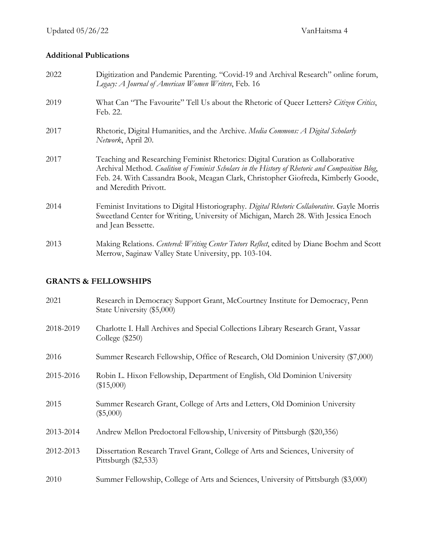### **Additional Publications**

| 2022 | Digitization and Pandemic Parenting. "Covid-19 and Archival Research" online forum,<br>Legacy: A Journal of American Women Writers, Feb. 16                                                                                                                                                      |
|------|--------------------------------------------------------------------------------------------------------------------------------------------------------------------------------------------------------------------------------------------------------------------------------------------------|
| 2019 | What Can "The Favourite" Tell Us about the Rhetoric of Queer Letters? Citizen Critics,<br>Feb. 22.                                                                                                                                                                                               |
| 2017 | Rhetoric, Digital Humanities, and the Archive. Media Commons: A Digital Scholarly<br>Network, April 20.                                                                                                                                                                                          |
| 2017 | Teaching and Researching Feminist Rhetorics: Digital Curation as Collaborative<br>Archival Method. Coalition of Feminist Scholars in the History of Rhetoric and Composition Blog,<br>Feb. 24. With Cassandra Book, Meagan Clark, Christopher Giofreda, Kimberly Goode,<br>and Meredith Privott. |
| 2014 | Feminist Invitations to Digital Historiography. Digital Rhetoric Collaborative. Gayle Morris<br>Sweetland Center for Writing, University of Michigan, March 28. With Jessica Enoch<br>and Jean Bessette.                                                                                         |
| 2013 | Making Relations. Centered: Writing Center Tutors Reflect, edited by Diane Boehm and Scott<br>Merrow, Saginaw Valley State University, pp. 103-104.                                                                                                                                              |

### **GRANTS & FELLOWSHIPS**

| 2021      | Research in Democracy Support Grant, McCourtney Institute for Democracy, Penn<br>State University (\$5,000) |
|-----------|-------------------------------------------------------------------------------------------------------------|
| 2018-2019 | Charlotte I. Hall Archives and Special Collections Library Research Grant, Vassar<br>College $(\$250)$      |
| 2016      | Summer Research Fellowship, Office of Research, Old Dominion University (\$7,000)                           |
| 2015-2016 | Robin L. Hixon Fellowship, Department of English, Old Dominion University<br>$(\$15,000)$                   |
| 2015      | Summer Research Grant, College of Arts and Letters, Old Dominion University<br>$(\$5,000)$                  |
| 2013-2014 | Andrew Mellon Predoctoral Fellowship, University of Pittsburgh (\$20,356)                                   |
| 2012-2013 | Dissertation Research Travel Grant, College of Arts and Sciences, University of<br>Pittsburgh $(\$2,533)$   |
| 2010      | Summer Fellowship, College of Arts and Sciences, University of Pittsburgh (\$3,000)                         |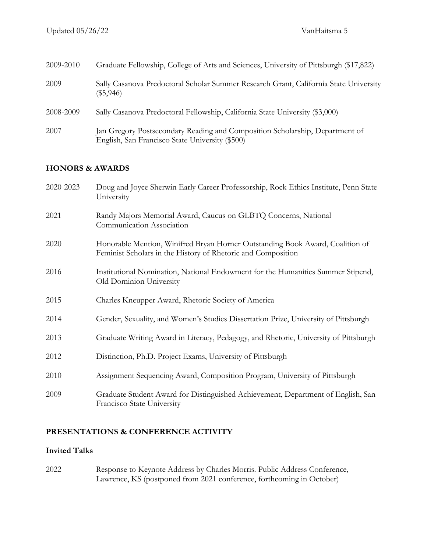| 2009-2010 | Graduate Fellowship, College of Arts and Sciences, University of Pittsburgh (\$17,822)                                          |
|-----------|---------------------------------------------------------------------------------------------------------------------------------|
| 2009      | Sally Casanova Predoctoral Scholar Summer Research Grant, California State University<br>$(\$5,946)$                            |
| 2008-2009 | Sally Casanova Predoctoral Fellowship, California State University (\$3,000)                                                    |
| 2007      | Jan Gregory Postsecondary Reading and Composition Scholarship, Department of<br>English, San Francisco State University (\$500) |

## **HONORS & AWARDS**

| 2020-2023 | Doug and Joyce Sherwin Early Career Professorship, Rock Ethics Institute, Penn State<br>University                                            |
|-----------|-----------------------------------------------------------------------------------------------------------------------------------------------|
| 2021      | Randy Majors Memorial Award, Caucus on GLBTQ Concerns, National<br>Communication Association                                                  |
| 2020      | Honorable Mention, Winifred Bryan Horner Outstanding Book Award, Coalition of<br>Feminist Scholars in the History of Rhetoric and Composition |
| 2016      | Institutional Nomination, National Endowment for the Humanities Summer Stipend,<br>Old Dominion University                                    |
| 2015      | Charles Kneupper Award, Rhetoric Society of America                                                                                           |
| 2014      | Gender, Sexuality, and Women's Studies Dissertation Prize, University of Pittsburgh                                                           |
| 2013      | Graduate Writing Award in Literacy, Pedagogy, and Rhetoric, University of Pittsburgh                                                          |
| 2012      | Distinction, Ph.D. Project Exams, University of Pittsburgh                                                                                    |
| 2010      | Assignment Sequencing Award, Composition Program, University of Pittsburgh                                                                    |
| 2009      | Graduate Student Award for Distinguished Achievement, Department of English, San<br>Francisco State University                                |

## **PRESENTATIONS & CONFERENCE ACTIVITY**

### **Invited Talks**

2022 Response to Keynote Address by Charles Morris. Public Address Conference, Lawrence, KS (postponed from 2021 conference, forthcoming in October)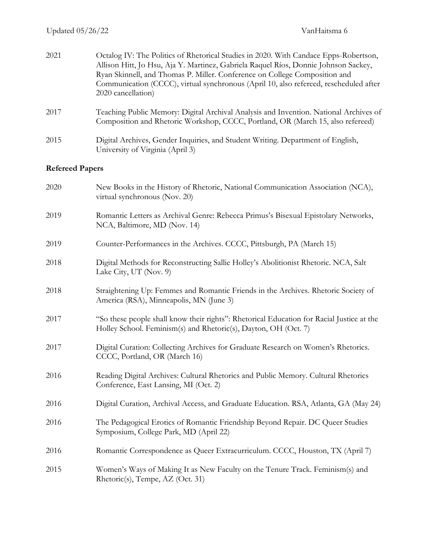| 2021                   | Octalog IV: The Politics of Rhetorical Studies in 2020. With Candace Epps-Robertson,<br>Allison Hitt, Jo Hsu, Aja Y. Martinez, Gabriela Raquel Ríos, Donnie Johnson Sackey,<br>Ryan Skinnell, and Thomas P. Miller. Conference on College Composition and<br>Communication (CCCC), virtual synchronous (April 10, also refereed, rescheduled after<br>2020 cancellation) |
|------------------------|--------------------------------------------------------------------------------------------------------------------------------------------------------------------------------------------------------------------------------------------------------------------------------------------------------------------------------------------------------------------------|
| 2017                   | Teaching Public Memory: Digital Archival Analysis and Invention. National Archives of<br>Composition and Rhetoric Workshop, CCCC, Portland, OR (March 15, also refereed)                                                                                                                                                                                                 |
| 2015                   | Digital Archives, Gender Inquiries, and Student Writing. Department of English,<br>University of Virginia (April 3)                                                                                                                                                                                                                                                      |
| <b>Refereed Papers</b> |                                                                                                                                                                                                                                                                                                                                                                          |
| 2020                   | New Books in the History of Rhetoric, National Communication Association (NCA),<br>virtual synchronous (Nov. 20)                                                                                                                                                                                                                                                         |
| 2019                   | Romantic Letters as Archival Genre: Rebecca Primus's Bisexual Epistolary Networks,<br>NCA, Baltimore, MD (Nov. 14)                                                                                                                                                                                                                                                       |
| 2019                   | Counter-Performances in the Archives. CCCC, Pittsburgh, PA (March 15)                                                                                                                                                                                                                                                                                                    |
| 2018                   | Digital Methods for Reconstructing Sallie Holley's Abolitionist Rhetoric. NCA, Salt<br>Lake City, UT (Nov. 9)                                                                                                                                                                                                                                                            |
| 2018                   | Straightening Up: Femmes and Romantic Friends in the Archives. Rhetoric Society of<br>America (RSA), Minneapolis, MN (June 3)                                                                                                                                                                                                                                            |
| 2017                   | "So these people shall know their rights": Rhetorical Education for Racial Justice at the<br>Holley School. Feminism(s) and Rhetoric(s), Dayton, OH (Oct. 7)                                                                                                                                                                                                             |
| 2017                   | Digital Curation: Collecting Archives for Graduate Research on Women's Rhetorics.<br>CCCC, Portland, OR (March 16)                                                                                                                                                                                                                                                       |
| 2016                   | Reading Digital Archives: Cultural Rhetorics and Public Memory. Cultural Rhetorics<br>Conference, East Lansing, MI (Oct. 2)                                                                                                                                                                                                                                              |
| 2016                   | Digital Curation, Archival Access, and Graduate Education. RSA, Atlanta, GA (May 24)                                                                                                                                                                                                                                                                                     |
| 2016                   | The Pedagogical Erotics of Romantic Friendship Beyond Repair. DC Queer Studies<br>Symposium, College Park, MD (April 22)                                                                                                                                                                                                                                                 |
| 2016                   | Romantic Correspondence as Queer Extracurriculum. CCCC, Houston, TX (April 7)                                                                                                                                                                                                                                                                                            |
| 2015                   | Women's Ways of Making It as New Faculty on the Tenure Track. Feminism(s) and<br>Rhetoric(s), Tempe, AZ (Oct. 31)                                                                                                                                                                                                                                                        |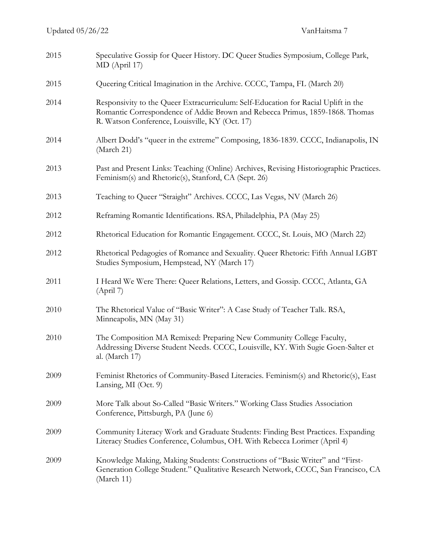| 2015 | Speculative Gossip for Queer History. DC Queer Studies Symposium, College Park,<br>MD (April 17)                                                                                                                     |
|------|----------------------------------------------------------------------------------------------------------------------------------------------------------------------------------------------------------------------|
| 2015 | Queering Critical Imagination in the Archive. CCCC, Tampa, FL (March 20)                                                                                                                                             |
| 2014 | Responsivity to the Queer Extracurriculum: Self-Education for Racial Uplift in the<br>Romantic Correspondence of Addie Brown and Rebecca Primus, 1859-1868. Thomas<br>R. Watson Conference, Louisville, KY (Oct. 17) |
| 2014 | Albert Dodd's "queer in the extreme" Composing, 1836-1839. CCCC, Indianapolis, IN<br>(March 21)                                                                                                                      |
| 2013 | Past and Present Links: Teaching (Online) Archives, Revising Historiographic Practices.<br>Feminism(s) and Rhetoric(s), Stanford, CA (Sept. 26)                                                                      |
| 2013 | Teaching to Queer "Straight" Archives. CCCC, Las Vegas, NV (March 26)                                                                                                                                                |
| 2012 | Reframing Romantic Identifications. RSA, Philadelphia, PA (May 25)                                                                                                                                                   |
| 2012 | Rhetorical Education for Romantic Engagement. CCCC, St. Louis, MO (March 22)                                                                                                                                         |
| 2012 | Rhetorical Pedagogies of Romance and Sexuality. Queer Rhetoric: Fifth Annual LGBT<br>Studies Symposium, Hempstead, NY (March 17)                                                                                     |
| 2011 | I Heard We Were There: Queer Relations, Letters, and Gossip. CCCC, Atlanta, GA<br>(Apri 7)                                                                                                                           |
| 2010 | The Rhetorical Value of "Basic Writer": A Case Study of Teacher Talk. RSA,<br>Minneapolis, MN (May 31)                                                                                                               |
| 2010 | The Composition MA Remixed: Preparing New Community College Faculty,<br>Addressing Diverse Student Needs. CCCC, Louisville, KY. With Sugie Goen-Salter et<br>al. (March 17)                                          |
| 2009 | Feminist Rhetorics of Community-Based Literacies. Feminism(s) and Rhetoric(s), East<br>Lansing, MI (Oct. 9)                                                                                                          |
| 2009 | More Talk about So-Called "Basic Writers." Working Class Studies Association<br>Conference, Pittsburgh, PA (June 6)                                                                                                  |
| 2009 | Community Literacy Work and Graduate Students: Finding Best Practices. Expanding<br>Literacy Studies Conference, Columbus, OH. With Rebecca Lorimer (April 4)                                                        |
| 2009 | Knowledge Making, Making Students: Constructions of "Basic Writer" and "First-<br>Generation College Student." Qualitative Research Network, CCCC, San Francisco, CA<br>(March 11)                                   |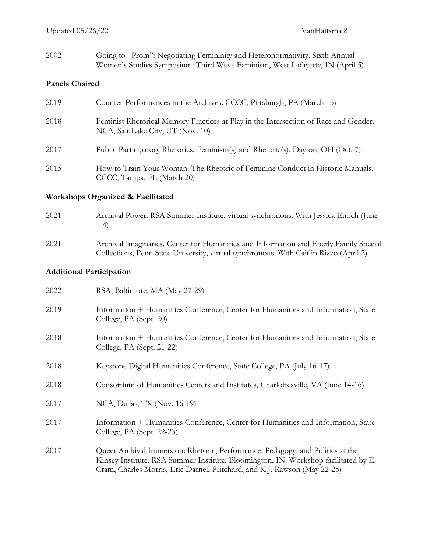2002 Going to "Prom": Negotiating Femininity and Heteronormativity. Sixth Annual Women's Studies Symposium: Third Wave Feminism, West Lafayette, IN (April 5)

#### **Panels Chaired**

| 2019 | Counter-Performances in the Archives. CCCC, Pittsburgh, PA (March 15)                                                     |
|------|---------------------------------------------------------------------------------------------------------------------------|
| 2018 | Feminist Rhetorical Memory Practices at Play in the Intersection of Race and Gender.<br>NCA, Salt Lake City, UT (Nov. 10) |
| 2017 | Public Participatory Rhetorics. Feminism(s) and Rhetoric(s), Dayton, OH (Oct. 7)                                          |
| 2015 | How to Train Your Woman: The Rhetoric of Feminine Conduct in Historic Manuals.<br>CCCC, Tampa, FL (March 20)              |

### **Workshops Organized & Facilitated**

2021 Archival Power. RSA Summer Institute, virtual synchronous. With Jessica Enoch (June 1-4) 2021 Archival Imaginaries. Center for Humanities and Information and Eberly Family Special

Collections, Penn State University, virtual synchronous. With Caitlin Rizzo (April 2)

### **Additional Participation**

| 2022 | RSA, Baltimore, MA (May 27-29)                                                                                                                                                                                                                     |
|------|----------------------------------------------------------------------------------------------------------------------------------------------------------------------------------------------------------------------------------------------------|
| 2019 | Information + Humanities Conference, Center for Humanities and Information, State<br>College, PA (Sept. 20)                                                                                                                                        |
| 2018 | Information + Humanities Conference, Center for Humanities and Information, State<br>College, PA (Sept. 21-22)                                                                                                                                     |
| 2018 | Keystone Digital Humanities Conference, State College, PA (July 16-17)                                                                                                                                                                             |
| 2018 | Consortium of Humanities Centers and Institutes, Charlottesville, VA (June 14-16)                                                                                                                                                                  |
| 2017 | NCA, Dallas, TX (Nov. 16-19)                                                                                                                                                                                                                       |
| 2017 | Information + Humanities Conference, Center for Humanities and Information, State<br>College, PA (Sept. 22-23)                                                                                                                                     |
| 2017 | Queer Archival Immersion: Rhetoric, Performance, Pedagogy, and Politics at the<br>Kinsey Institute. RSA Summer Institute, Bloomington, IN. Workshop facilitated by E.<br>Cram, Charles Morris, Eric Darnell Pritchard, and K.J. Rawson (May 22-25) |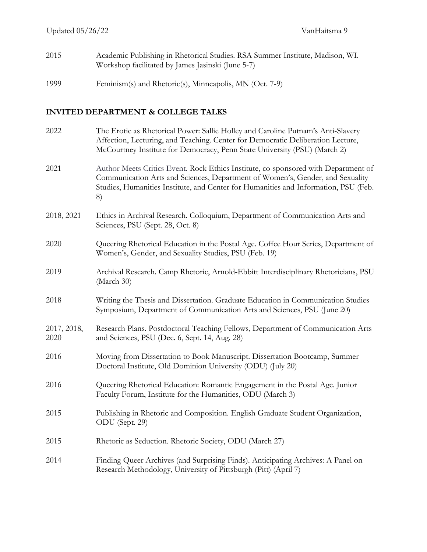- 2015 Academic Publishing in Rhetorical Studies. RSA Summer Institute, Madison, WI. Workshop facilitated by James Jasinski (June 5-7)
- 1999 Feminism(s) and Rhetoric(s), Minneapolis, MN (Oct. 7-9)

### **INVITED DEPARTMENT & COLLEGE TALKS**

| 2022                | The Erotic as Rhetorical Power: Sallie Holley and Caroline Putnam's Anti-Slavery<br>Affection, Lecturing, and Teaching. Center for Democratic Deliberation Lecture,<br>McCourtney Institute for Democracy, Penn State University (PSU) (March 2)                 |
|---------------------|------------------------------------------------------------------------------------------------------------------------------------------------------------------------------------------------------------------------------------------------------------------|
| 2021                | Author Meets Critics Event. Rock Ethics Institute, co-sponsored with Department of<br>Communication Arts and Sciences, Department of Women's, Gender, and Sexuality<br>Studies, Humanities Institute, and Center for Humanities and Information, PSU (Feb.<br>8) |
| 2018, 2021          | Ethics in Archival Research. Colloquium, Department of Communication Arts and<br>Sciences, PSU (Sept. 28, Oct. 8)                                                                                                                                                |
| 2020                | Queering Rhetorical Education in the Postal Age. Coffee Hour Series, Department of<br>Women's, Gender, and Sexuality Studies, PSU (Feb. 19)                                                                                                                      |
| 2019                | Archival Research. Camp Rhetoric, Arnold-Ebbitt Interdisciplinary Rhetoricians, PSU<br>(March 30)                                                                                                                                                                |
| 2018                | Writing the Thesis and Dissertation. Graduate Education in Communication Studies<br>Symposium, Department of Communication Arts and Sciences, PSU (June 20)                                                                                                      |
| 2017, 2018,<br>2020 | Research Plans. Postdoctoral Teaching Fellows, Department of Communication Arts<br>and Sciences, PSU (Dec. 6, Sept. 14, Aug. 28)                                                                                                                                 |
| 2016                | Moving from Dissertation to Book Manuscript. Dissertation Bootcamp, Summer<br>Doctoral Institute, Old Dominion University (ODU) (July 20)                                                                                                                        |
| 2016                | Queering Rhetorical Education: Romantic Engagement in the Postal Age. Junior<br>Faculty Forum, Institute for the Humanities, ODU (March 3)                                                                                                                       |
| 2015                | Publishing in Rhetoric and Composition. English Graduate Student Organization,<br>ODU (Sept. 29)                                                                                                                                                                 |
| 2015                | Rhetoric as Seduction. Rhetoric Society, ODU (March 27)                                                                                                                                                                                                          |
| 2014                | Finding Queer Archives (and Surprising Finds). Anticipating Archives: A Panel on<br>Research Methodology, University of Pittsburgh (Pitt) (April 7)                                                                                                              |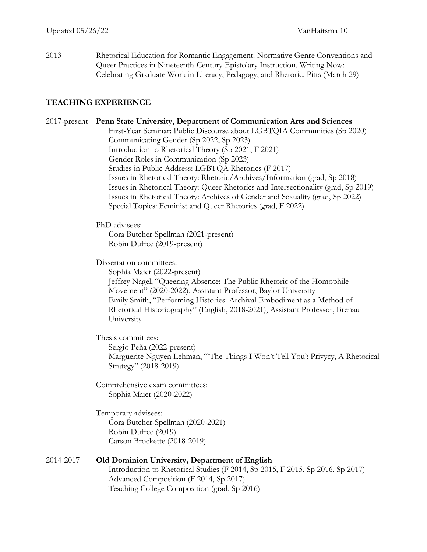2013 Rhetorical Education for Romantic Engagement: Normative Genre Conventions and Queer Practices in Nineteenth-Century Epistolary Instruction. Writing Now: Celebrating Graduate Work in Literacy, Pedagogy, and Rhetoric, Pitts (March 29)

#### **TEACHING EXPERIENCE**

#### 2017-present **Penn State University, Department of Communication Arts and Sciences**

First-Year Seminar: Public Discourse about LGBTQIA Communities (Sp 2020) Communicating Gender (Sp 2022, Sp 2023) Introduction to Rhetorical Theory (Sp 2021, F 2021) Gender Roles in Communication (Sp 2023) Studies in Public Address: LGBTQA Rhetorics (F 2017) Issues in Rhetorical Theory: Rhetoric/Archives/Information (grad, Sp 2018) Issues in Rhetorical Theory: Queer Rhetorics and Intersectionality (grad, Sp 2019) Issues in Rhetorical Theory: Archives of Gender and Sexuality (grad, Sp 2022) Special Topics: Feminist and Queer Rhetorics (grad, F 2022)

#### PhD advisees:

Cora Butcher-Spellman (2021-present) Robin Duffee (2019-present)

Dissertation committees:

Sophia Maier (2022-present) Jeffrey Nagel, "Queering Absence: The Public Rhetoric of the Homophile Movement" (2020-2022), Assistant Professor, Baylor University Emily Smith, "Performing Histories: Archival Embodiment as a Method of Rhetorical Historiography" (English, 2018-2021), Assistant Professor, Brenau University

Thesis committees: Sergio Peña (2022-present) Marguerite Nguyen Lehman, "'The Things I Won't Tell You': Privycy, A Rhetorical Strategy" (2018-2019)

Comprehensive exam committees: Sophia Maier (2020-2022)

Temporary advisees: Cora Butcher-Spellman (2020-2021) Robin Duffee (2019) Carson Brockette (2018-2019)

#### 2014-2017 **Old Dominion University, Department of English** Introduction to Rhetorical Studies (F 2014, Sp 2015, F 2015, Sp 2016, Sp 2017) Advanced Composition (F 2014, Sp 2017) Teaching College Composition (grad, Sp 2016)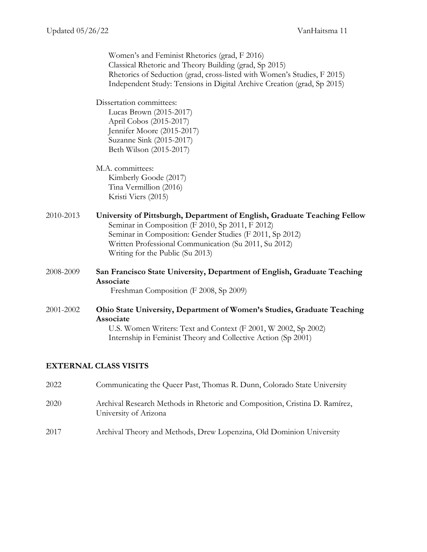|                              | Women's and Feminist Rhetorics (grad, F 2016)<br>Classical Rhetoric and Theory Building (grad, Sp 2015)<br>Rhetorics of Seduction (grad, cross-listed with Women's Studies, F 2015)<br>Independent Study: Tensions in Digital Archive Creation (grad, Sp 2015)                         |  |
|------------------------------|----------------------------------------------------------------------------------------------------------------------------------------------------------------------------------------------------------------------------------------------------------------------------------------|--|
|                              | Dissertation committees:<br>Lucas Brown (2015-2017)<br>April Cobos (2015-2017)<br>Jennifer Moore (2015-2017)<br>Suzanne Sink (2015-2017)<br>Beth Wilson (2015-2017)                                                                                                                    |  |
|                              | M.A. committees:<br>Kimberly Goode (2017)<br>Tina Vermillion (2016)<br>Kristi Viers (2015)                                                                                                                                                                                             |  |
| 2010-2013                    | University of Pittsburgh, Department of English, Graduate Teaching Fellow<br>Seminar in Composition (F 2010, Sp 2011, F 2012)<br>Seminar in Composition: Gender Studies (F 2011, Sp 2012)<br>Written Professional Communication (Su 2011, Su 2012)<br>Writing for the Public (Su 2013) |  |
| 2008-2009                    | San Francisco State University, Department of English, Graduate Teaching<br>Associate<br>Freshman Composition (F 2008, Sp 2009)                                                                                                                                                        |  |
| 2001-2002                    | Ohio State University, Department of Women's Studies, Graduate Teaching<br>Associate<br>U.S. Women Writers: Text and Context (F 2001, W 2002, Sp 2002)<br>Internship in Feminist Theory and Collective Action (Sp 2001)                                                                |  |
| <b>EXTERNAL CLASS VISITS</b> |                                                                                                                                                                                                                                                                                        |  |

 Communicating the Queer Past, Thomas R. Dunn, Colorado State University Archival Research Methods in Rhetoric and Composition, Cristina D. Ramírez, University of Arizona Archival Theory and Methods, Drew Lopenzina, Old Dominion University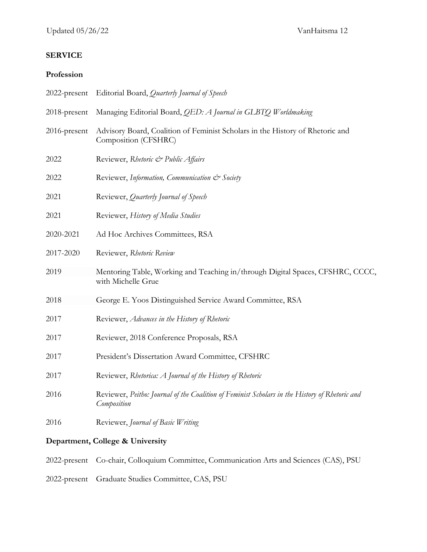# **SERVICE**

### **Profession**

| Department, College & University |                                                                                                               |  |
|----------------------------------|---------------------------------------------------------------------------------------------------------------|--|
| 2016                             | Reviewer, Journal of Basic Writing                                                                            |  |
| 2016                             | Reviewer, Peitho: Journal of the Coalition of Feminist Scholars in the History of Rhetoric and<br>Composition |  |
| 2017                             | Reviewer, Rhetorica: A Journal of the History of Rhetoric                                                     |  |
| 2017                             | President's Dissertation Award Committee, CFSHRC                                                              |  |
| 2017                             | Reviewer, 2018 Conference Proposals, RSA                                                                      |  |
| 2017                             | Reviewer, Advances in the History of Rhetoric                                                                 |  |
| 2018                             | George E. Yoos Distinguished Service Award Committee, RSA                                                     |  |
| 2019                             | Mentoring Table, Working and Teaching in/through Digital Spaces, CFSHRC, CCCC,<br>with Michelle Grue          |  |
| 2017-2020                        | Reviewer, Rhetoric Review                                                                                     |  |
| 2020-2021                        | Ad Hoc Archives Committees, RSA                                                                               |  |
| 2021                             | Reviewer, History of Media Studies                                                                            |  |
| 2021                             | Reviewer, Quarterly Journal of Speech                                                                         |  |
| 2022                             | Reviewer, Information, Communication & Society                                                                |  |
| 2022                             | Reviewer, Rhetoric & Public Affairs                                                                           |  |
| 2016-present                     | Advisory Board, Coalition of Feminist Scholars in the History of Rhetoric and<br>Composition (CFSHRC)         |  |
| 2018-present                     | Managing Editorial Board, QED: A Journal in GLBTQ Worldmaking                                                 |  |
| 2022-present                     | Editorial Board, Quarterly Journal of Speech                                                                  |  |

2022-present Co-chair, Colloquium Committee, Communication Arts and Sciences (CAS), PSU

2022-present Graduate Studies Committee, CAS, PSU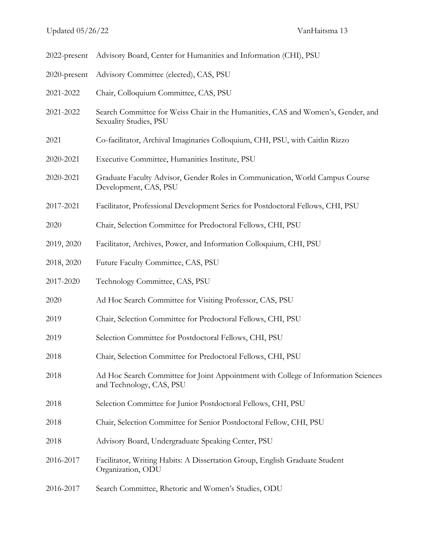| 2022-present | Advisory Board, Center for Humanities and Information (CHI), PSU                                               |
|--------------|----------------------------------------------------------------------------------------------------------------|
| 2020-present | Advisory Committee (elected), CAS, PSU                                                                         |
| 2021-2022    | Chair, Colloquium Committee, CAS, PSU                                                                          |
| 2021-2022    | Search Committee for Weiss Chair in the Humanities, CAS and Women's, Gender, and<br>Sexuality Studies, PSU     |
| 2021         | Co-facilitator, Archival Imaginaries Colloquium, CHI, PSU, with Caitlin Rizzo                                  |
| 2020-2021    | Executive Committee, Humanities Institute, PSU                                                                 |
| 2020-2021    | Graduate Faculty Advisor, Gender Roles in Communication, World Campus Course<br>Development, CAS, PSU          |
| 2017-2021    | Facilitator, Professional Development Series for Postdoctoral Fellows, CHI, PSU                                |
| 2020         | Chair, Selection Committee for Predoctoral Fellows, CHI, PSU                                                   |
| 2019, 2020   | Facilitator, Archives, Power, and Information Colloquium, CHI, PSU                                             |
| 2018, 2020   | Future Faculty Committee, CAS, PSU                                                                             |
| 2017-2020    | Technology Committee, CAS, PSU                                                                                 |
| 2020         | Ad Hoc Search Committee for Visiting Professor, CAS, PSU                                                       |
| 2019         | Chair, Selection Committee for Predoctoral Fellows, CHI, PSU                                                   |
| 2019         | Selection Committee for Postdoctoral Fellows, CHI, PSU                                                         |
| 2018         | Chair, Selection Committee for Predoctoral Fellows, CHI, PSU                                                   |
| 2018         | Ad Hoc Search Committee for Joint Appointment with College of Information Sciences<br>and Technology, CAS, PSU |
| 2018         | Selection Committee for Junior Postdoctoral Fellows, CHI, PSU                                                  |
| 2018         | Chair, Selection Committee for Senior Postdoctoral Fellow, CHI, PSU                                            |
| 2018         | Advisory Board, Undergraduate Speaking Center, PSU                                                             |
| 2016-2017    | Facilitator, Writing Habits: A Dissertation Group, English Graduate Student<br>Organization, ODU               |
| 2016-2017    | Search Committee, Rhetoric and Women's Studies, ODU                                                            |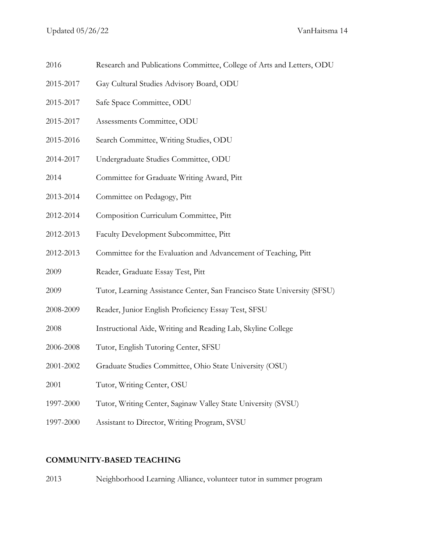- 2016 Research and Publications Committee, College of Arts and Letters, ODU
- 2015-2017 Gay Cultural Studies Advisory Board, ODU
- 2015-2017 Safe Space Committee, ODU
- 2015-2017 Assessments Committee, ODU
- 2015-2016 Search Committee, Writing Studies, ODU
- 2014-2017 Undergraduate Studies Committee, ODU
- 2014 Committee for Graduate Writing Award, Pitt
- 2013-2014 Committee on Pedagogy, Pitt
- 2012-2014 Composition Curriculum Committee, Pitt
- 2012-2013 Faculty Development Subcommittee, Pitt
- 2012-2013 Committee for the Evaluation and Advancement of Teaching, Pitt
- 2009 Reader, Graduate Essay Test, Pitt
- 2009 Tutor, Learning Assistance Center, San Francisco State University (SFSU)
- 2008-2009 Reader, Junior English Proficiency Essay Test, SFSU
- 2008 Instructional Aide, Writing and Reading Lab, Skyline College
- 2006-2008 Tutor, English Tutoring Center, SFSU
- 2001-2002 Graduate Studies Committee, Ohio State University (OSU)
- 2001 Tutor, Writing Center, OSU
- 1997-2000 Tutor, Writing Center, Saginaw Valley State University (SVSU)
- 1997-2000 Assistant to Director, Writing Program, SVSU

### **COMMUNITY-BASED TEACHING**

2013 Neighborhood Learning Alliance, volunteer tutor in summer program